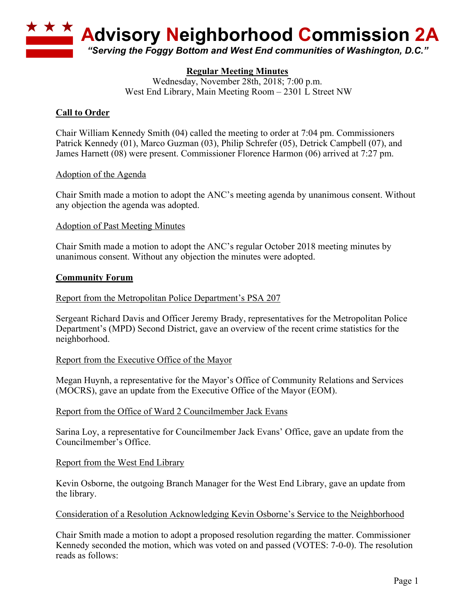

# **Regular Meeting Minutes**

Wednesday, November 28th, 2018; 7:00 p.m. West End Library, Main Meeting Room – 2301 L Street NW

# **Call to Order**

Chair William Kennedy Smith (04) called the meeting to order at 7:04 pm. Commissioners Patrick Kennedy (01), Marco Guzman (03), Philip Schrefer (05), Detrick Campbell (07), and James Harnett (08) were present. Commissioner Florence Harmon (06) arrived at 7:27 pm.

## Adoption of the Agenda

Chair Smith made a motion to adopt the ANC's meeting agenda by unanimous consent. Without any objection the agenda was adopted.

#### Adoption of Past Meeting Minutes

Chair Smith made a motion to adopt the ANC's regular October 2018 meeting minutes by unanimous consent. Without any objection the minutes were adopted.

#### **Community Forum**

Report from the Metropolitan Police Department's PSA 207

Sergeant Richard Davis and Officer Jeremy Brady, representatives for the Metropolitan Police Department's (MPD) Second District, gave an overview of the recent crime statistics for the neighborhood.

#### Report from the Executive Office of the Mayor

Megan Huynh, a representative for the Mayor's Office of Community Relations and Services (MOCRS), gave an update from the Executive Office of the Mayor (EOM).

#### Report from the Office of Ward 2 Councilmember Jack Evans

Sarina Loy, a representative for Councilmember Jack Evans' Office, gave an update from the Councilmember's Office.

#### Report from the West End Library

Kevin Osborne, the outgoing Branch Manager for the West End Library, gave an update from the library.

#### Consideration of a Resolution Acknowledging Kevin Osborne's Service to the Neighborhood

Chair Smith made a motion to adopt a proposed resolution regarding the matter. Commissioner Kennedy seconded the motion, which was voted on and passed (VOTES: 7-0-0). The resolution reads as follows: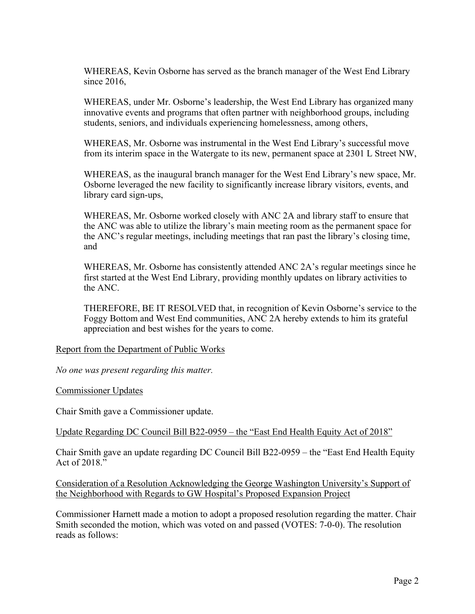WHEREAS, Kevin Osborne has served as the branch manager of the West End Library since 2016,

WHEREAS, under Mr. Osborne's leadership, the West End Library has organized many innovative events and programs that often partner with neighborhood groups, including students, seniors, and individuals experiencing homelessness, among others,

WHEREAS, Mr. Osborne was instrumental in the West End Library's successful move from its interim space in the Watergate to its new, permanent space at 2301 L Street NW,

WHEREAS, as the inaugural branch manager for the West End Library's new space, Mr. Osborne leveraged the new facility to significantly increase library visitors, events, and library card sign-ups,

WHEREAS, Mr. Osborne worked closely with ANC 2A and library staff to ensure that the ANC was able to utilize the library's main meeting room as the permanent space for the ANC's regular meetings, including meetings that ran past the library's closing time, and

WHEREAS, Mr. Osborne has consistently attended ANC 2A's regular meetings since he first started at the West End Library, providing monthly updates on library activities to the ANC.

THEREFORE, BE IT RESOLVED that, in recognition of Kevin Osborne's service to the Foggy Bottom and West End communities, ANC 2A hereby extends to him its grateful appreciation and best wishes for the years to come.

Report from the Department of Public Works

*No one was present regarding this matter.*

Commissioner Updates

Chair Smith gave a Commissioner update.

Update Regarding DC Council Bill B22-0959 – the "East End Health Equity Act of 2018"

Chair Smith gave an update regarding DC Council Bill B22-0959 – the "East End Health Equity Act of  $2018$ ."

Consideration of a Resolution Acknowledging the George Washington University's Support of the Neighborhood with Regards to GW Hospital's Proposed Expansion Project

Commissioner Harnett made a motion to adopt a proposed resolution regarding the matter. Chair Smith seconded the motion, which was voted on and passed (VOTES: 7-0-0). The resolution reads as follows: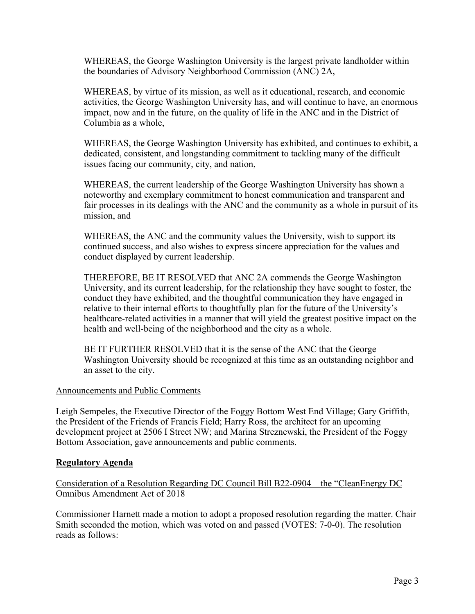WHEREAS, the George Washington University is the largest private landholder within the boundaries of Advisory Neighborhood Commission (ANC) 2A,

WHEREAS, by virtue of its mission, as well as it educational, research, and economic activities, the George Washington University has, and will continue to have, an enormous impact, now and in the future, on the quality of life in the ANC and in the District of Columbia as a whole,

WHEREAS, the George Washington University has exhibited, and continues to exhibit, a dedicated, consistent, and longstanding commitment to tackling many of the difficult issues facing our community, city, and nation,

WHEREAS, the current leadership of the George Washington University has shown a noteworthy and exemplary commitment to honest communication and transparent and fair processes in its dealings with the ANC and the community as a whole in pursuit of its mission, and

WHEREAS, the ANC and the community values the University, wish to support its continued success, and also wishes to express sincere appreciation for the values and conduct displayed by current leadership.

THEREFORE, BE IT RESOLVED that ANC 2A commends the George Washington University, and its current leadership, for the relationship they have sought to foster, the conduct they have exhibited, and the thoughtful communication they have engaged in relative to their internal efforts to thoughtfully plan for the future of the University's healthcare-related activities in a manner that will yield the greatest positive impact on the health and well-being of the neighborhood and the city as a whole.

BE IT FURTHER RESOLVED that it is the sense of the ANC that the George Washington University should be recognized at this time as an outstanding neighbor and an asset to the city.

## Announcements and Public Comments

Leigh Sempeles, the Executive Director of the Foggy Bottom West End Village; Gary Griffith, the President of the Friends of Francis Field; Harry Ross, the architect for an upcoming development project at 2506 I Street NW; and Marina Streznewski, the President of the Foggy Bottom Association, gave announcements and public comments.

## **Regulatory Agenda**

# Consideration of a Resolution Regarding DC Council Bill B22-0904 – the "CleanEnergy DC Omnibus Amendment Act of 2018

Commissioner Harnett made a motion to adopt a proposed resolution regarding the matter. Chair Smith seconded the motion, which was voted on and passed (VOTES: 7-0-0). The resolution reads as follows: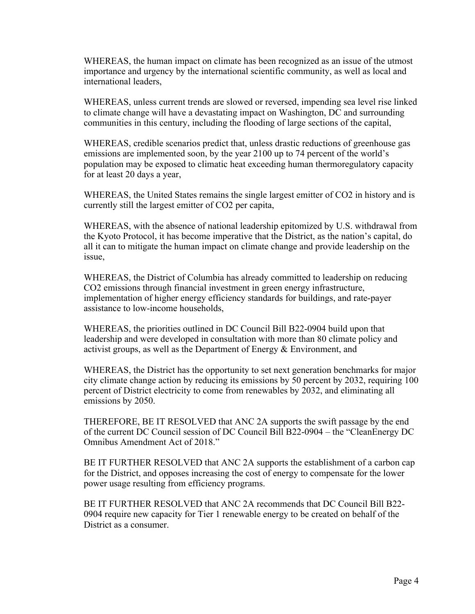WHEREAS, the human impact on climate has been recognized as an issue of the utmost importance and urgency by the international scientific community, as well as local and international leaders,

WHEREAS, unless current trends are slowed or reversed, impending sea level rise linked to climate change will have a devastating impact on Washington, DC and surrounding communities in this century, including the flooding of large sections of the capital,

WHEREAS, credible scenarios predict that, unless drastic reductions of greenhouse gas emissions are implemented soon, by the year 2100 up to 74 percent of the world's population may be exposed to climatic heat exceeding human thermoregulatory capacity for at least 20 days a year,

WHEREAS, the United States remains the single largest emitter of CO2 in history and is currently still the largest emitter of CO2 per capita,

WHEREAS, with the absence of national leadership epitomized by U.S. withdrawal from the Kyoto Protocol, it has become imperative that the District, as the nation's capital, do all it can to mitigate the human impact on climate change and provide leadership on the issue,

WHEREAS, the District of Columbia has already committed to leadership on reducing CO2 emissions through financial investment in green energy infrastructure, implementation of higher energy efficiency standards for buildings, and rate-payer assistance to low-income households,

WHEREAS, the priorities outlined in DC Council Bill B22-0904 build upon that leadership and were developed in consultation with more than 80 climate policy and activist groups, as well as the Department of Energy & Environment, and

WHEREAS, the District has the opportunity to set next generation benchmarks for major city climate change action by reducing its emissions by 50 percent by 2032, requiring 100 percent of District electricity to come from renewables by 2032, and eliminating all emissions by 2050.

THEREFORE, BE IT RESOLVED that ANC 2A supports the swift passage by the end of the current DC Council session of DC Council Bill B22-0904 – the "CleanEnergy DC Omnibus Amendment Act of 2018."

BE IT FURTHER RESOLVED that ANC 2A supports the establishment of a carbon cap for the District, and opposes increasing the cost of energy to compensate for the lower power usage resulting from efficiency programs.

BE IT FURTHER RESOLVED that ANC 2A recommends that DC Council Bill B22- 0904 require new capacity for Tier 1 renewable energy to be created on behalf of the District as a consumer.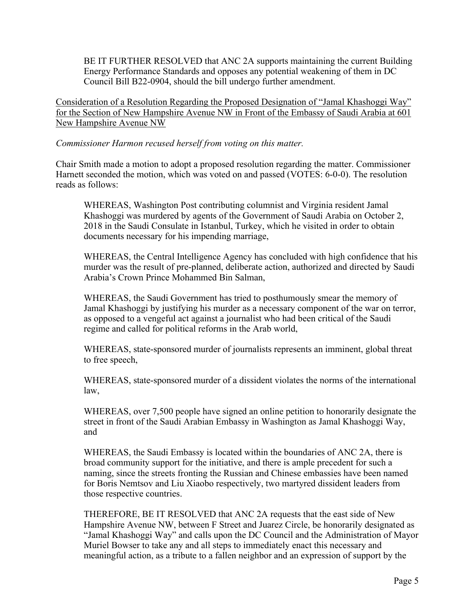BE IT FURTHER RESOLVED that ANC 2A supports maintaining the current Building Energy Performance Standards and opposes any potential weakening of them in DC Council Bill B22-0904, should the bill undergo further amendment.

Consideration of a Resolution Regarding the Proposed Designation of "Jamal Khashoggi Way" for the Section of New Hampshire Avenue NW in Front of the Embassy of Saudi Arabia at 601 New Hampshire Avenue NW

## *Commissioner Harmon recused herself from voting on this matter.*

Chair Smith made a motion to adopt a proposed resolution regarding the matter. Commissioner Harnett seconded the motion, which was voted on and passed (VOTES: 6-0-0). The resolution reads as follows:

WHEREAS, Washington Post contributing columnist and Virginia resident Jamal Khashoggi was murdered by agents of the Government of Saudi Arabia on October 2, 2018 in the Saudi Consulate in Istanbul, Turkey, which he visited in order to obtain documents necessary for his impending marriage,

WHEREAS, the Central Intelligence Agency has concluded with high confidence that his murder was the result of pre-planned, deliberate action, authorized and directed by Saudi Arabia's Crown Prince Mohammed Bin Salman,

WHEREAS, the Saudi Government has tried to posthumously smear the memory of Jamal Khashoggi by justifying his murder as a necessary component of the war on terror, as opposed to a vengeful act against a journalist who had been critical of the Saudi regime and called for political reforms in the Arab world,

WHEREAS, state-sponsored murder of journalists represents an imminent, global threat to free speech,

WHEREAS, state-sponsored murder of a dissident violates the norms of the international law,

WHEREAS, over 7,500 people have signed an online petition to honorarily designate the street in front of the Saudi Arabian Embassy in Washington as Jamal Khashoggi Way, and

WHEREAS, the Saudi Embassy is located within the boundaries of ANC 2A, there is broad community support for the initiative, and there is ample precedent for such a naming, since the streets fronting the Russian and Chinese embassies have been named for Boris Nemtsov and Liu Xiaobo respectively, two martyred dissident leaders from those respective countries.

THEREFORE, BE IT RESOLVED that ANC 2A requests that the east side of New Hampshire Avenue NW, between F Street and Juarez Circle, be honorarily designated as "Jamal Khashoggi Way" and calls upon the DC Council and the Administration of Mayor Muriel Bowser to take any and all steps to immediately enact this necessary and meaningful action, as a tribute to a fallen neighbor and an expression of support by the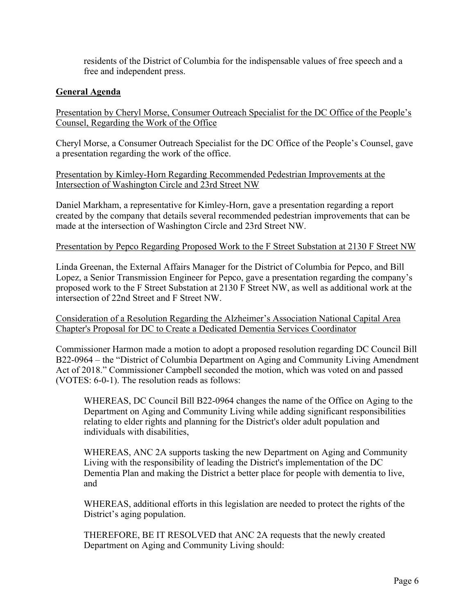residents of the District of Columbia for the indispensable values of free speech and a free and independent press.

## **General Agenda**

Presentation by Cheryl Morse, Consumer Outreach Specialist for the DC Office of the People's Counsel, Regarding the Work of the Office

Cheryl Morse, a Consumer Outreach Specialist for the DC Office of the People's Counsel, gave a presentation regarding the work of the office.

Presentation by Kimley-Horn Regarding Recommended Pedestrian Improvements at the Intersection of Washington Circle and 23rd Street NW

Daniel Markham, a representative for Kimley-Horn, gave a presentation regarding a report created by the company that details several recommended pedestrian improvements that can be made at the intersection of Washington Circle and 23rd Street NW.

#### Presentation by Pepco Regarding Proposed Work to the F Street Substation at 2130 F Street NW

Linda Greenan, the External Affairs Manager for the District of Columbia for Pepco, and Bill Lopez, a Senior Transmission Engineer for Pepco, gave a presentation regarding the company's proposed work to the F Street Substation at 2130 F Street NW, as well as additional work at the intersection of 22nd Street and F Street NW.

Consideration of a Resolution Regarding the Alzheimer's Association National Capital Area Chapter's Proposal for DC to Create a Dedicated Dementia Services Coordinator

Commissioner Harmon made a motion to adopt a proposed resolution regarding DC Council Bill B22-0964 – the "District of Columbia Department on Aging and Community Living Amendment Act of 2018." Commissioner Campbell seconded the motion, which was voted on and passed (VOTES: 6-0-1). The resolution reads as follows:

WHEREAS, DC Council Bill B22-0964 changes the name of the Office on Aging to the Department on Aging and Community Living while adding significant responsibilities relating to elder rights and planning for the District's older adult population and individuals with disabilities,

WHEREAS, ANC 2A supports tasking the new Department on Aging and Community Living with the responsibility of leading the District's implementation of the DC Dementia Plan and making the District a better place for people with dementia to live, and

WHEREAS, additional efforts in this legislation are needed to protect the rights of the District's aging population.

THEREFORE, BE IT RESOLVED that ANC 2A requests that the newly created Department on Aging and Community Living should: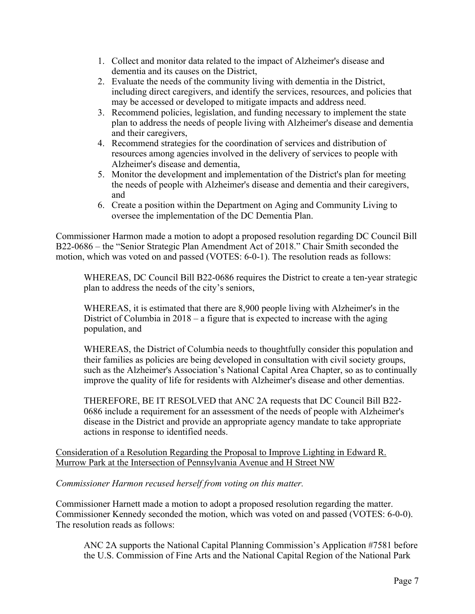- 1. Collect and monitor data related to the impact of Alzheimer's disease and dementia and its causes on the District,
- 2. Evaluate the needs of the community living with dementia in the District, including direct caregivers, and identify the services, resources, and policies that may be accessed or developed to mitigate impacts and address need.
- 3. Recommend policies, legislation, and funding necessary to implement the state plan to address the needs of people living with Alzheimer's disease and dementia and their caregivers,
- 4. Recommend strategies for the coordination of services and distribution of resources among agencies involved in the delivery of services to people with Alzheimer's disease and dementia,
- 5. Monitor the development and implementation of the District's plan for meeting the needs of people with Alzheimer's disease and dementia and their caregivers, and
- 6. Create a position within the Department on Aging and Community Living to oversee the implementation of the DC Dementia Plan.

Commissioner Harmon made a motion to adopt a proposed resolution regarding DC Council Bill B22-0686 – the "Senior Strategic Plan Amendment Act of 2018." Chair Smith seconded the motion, which was voted on and passed (VOTES: 6-0-1). The resolution reads as follows:

WHEREAS, DC Council Bill B22-0686 requires the District to create a ten-year strategic plan to address the needs of the city's seniors,

WHEREAS, it is estimated that there are 8,900 people living with Alzheimer's in the District of Columbia in 2018 – a figure that is expected to increase with the aging population, and

WHEREAS, the District of Columbia needs to thoughtfully consider this population and their families as policies are being developed in consultation with civil society groups, such as the Alzheimer's Association's National Capital Area Chapter, so as to continually improve the quality of life for residents with Alzheimer's disease and other dementias.

THEREFORE, BE IT RESOLVED that ANC 2A requests that DC Council Bill B22- 0686 include a requirement for an assessment of the needs of people with Alzheimer's disease in the District and provide an appropriate agency mandate to take appropriate actions in response to identified needs.

Consideration of a Resolution Regarding the Proposal to Improve Lighting in Edward R. Murrow Park at the Intersection of Pennsylvania Avenue and H Street NW

*Commissioner Harmon recused herself from voting on this matter.*

Commissioner Harnett made a motion to adopt a proposed resolution regarding the matter. Commissioner Kennedy seconded the motion, which was voted on and passed (VOTES: 6-0-0). The resolution reads as follows:

ANC 2A supports the National Capital Planning Commission's Application #7581 before the U.S. Commission of Fine Arts and the National Capital Region of the National Park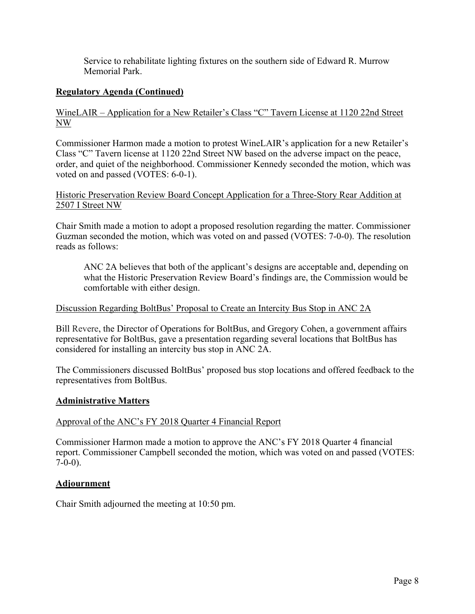Service to rehabilitate lighting fixtures on the southern side of Edward R. Murrow Memorial Park.

# **Regulatory Agenda (Continued)**

## WineLAIR – Application for a New Retailer's Class "C" Tavern License at 1120 22nd Street NW

Commissioner Harmon made a motion to protest WineLAIR's application for a new Retailer's Class "C" Tavern license at 1120 22nd Street NW based on the adverse impact on the peace, order, and quiet of the neighborhood. Commissioner Kennedy seconded the motion, which was voted on and passed (VOTES: 6-0-1).

## Historic Preservation Review Board Concept Application for a Three-Story Rear Addition at 2507 I Street NW

Chair Smith made a motion to adopt a proposed resolution regarding the matter. Commissioner Guzman seconded the motion, which was voted on and passed (VOTES: 7-0-0). The resolution reads as follows:

ANC 2A believes that both of the applicant's designs are acceptable and, depending on what the Historic Preservation Review Board's findings are, the Commission would be comfortable with either design.

## Discussion Regarding BoltBus' Proposal to Create an Intercity Bus Stop in ANC 2A

Bill Revere, the Director of Operations for BoltBus, and Gregory Cohen, a government affairs representative for BoltBus, gave a presentation regarding several locations that BoltBus has considered for installing an intercity bus stop in ANC 2A.

The Commissioners discussed BoltBus' proposed bus stop locations and offered feedback to the representatives from BoltBus.

## **Administrative Matters**

## Approval of the ANC's FY 2018 Quarter 4 Financial Report

Commissioner Harmon made a motion to approve the ANC's FY 2018 Quarter 4 financial report. Commissioner Campbell seconded the motion, which was voted on and passed (VOTES:  $7-0-0$ ).

## **Adjournment**

Chair Smith adjourned the meeting at 10:50 pm.